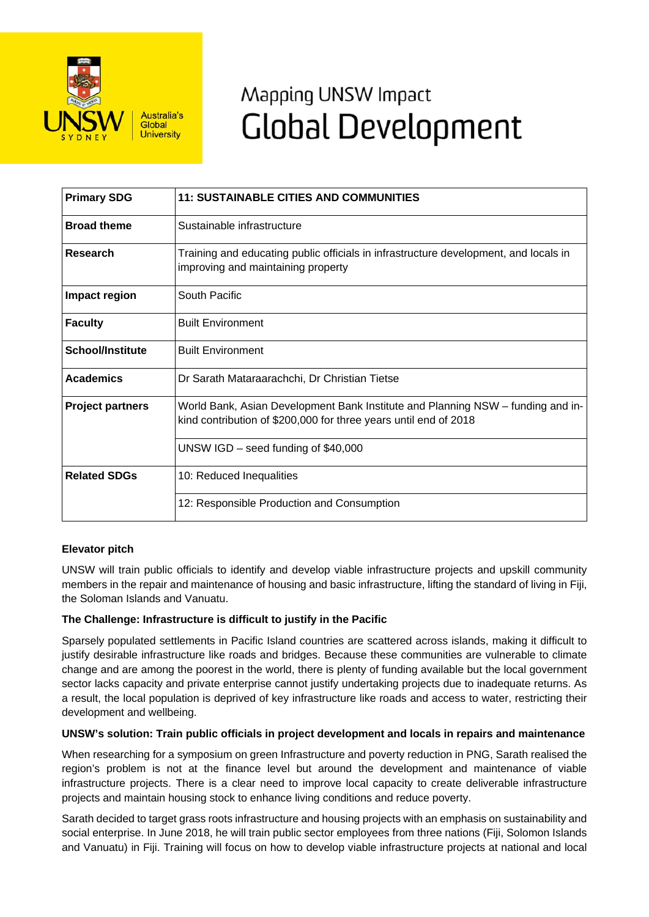

# Mapping UNSW Impact **Global Development**

| <b>Primary SDG</b>      | <b>11: SUSTAINABLE CITIES AND COMMUNITIES</b>                                                                                                       |
|-------------------------|-----------------------------------------------------------------------------------------------------------------------------------------------------|
| <b>Broad theme</b>      | Sustainable infrastructure                                                                                                                          |
| <b>Research</b>         | Training and educating public officials in infrastructure development, and locals in<br>improving and maintaining property                          |
| Impact region           | South Pacific                                                                                                                                       |
| <b>Faculty</b>          | <b>Built Environment</b>                                                                                                                            |
| <b>School/Institute</b> | <b>Built Environment</b>                                                                                                                            |
| <b>Academics</b>        | Dr Sarath Mataraarachchi, Dr Christian Tietse                                                                                                       |
| <b>Project partners</b> | World Bank, Asian Development Bank Institute and Planning NSW – funding and in-<br>kind contribution of \$200,000 for three years until end of 2018 |
|                         | UNSW IGD $-$ seed funding of \$40,000                                                                                                               |
| <b>Related SDGs</b>     | 10: Reduced Inequalities                                                                                                                            |
|                         | 12: Responsible Production and Consumption                                                                                                          |

## **Elevator pitch**

UNSW will train public officials to identify and develop viable infrastructure projects and upskill community members in the repair and maintenance of housing and basic infrastructure, lifting the standard of living in Fiji, the Soloman Islands and Vanuatu.

#### **The Challenge: Infrastructure is difficult to justify in the Pacific**

Sparsely populated settlements in Pacific Island countries are scattered across islands, making it difficult to justify desirable infrastructure like roads and bridges. Because these communities are vulnerable to climate change and are among the poorest in the world, there is plenty of funding available but the local government sector lacks capacity and private enterprise cannot justify undertaking projects due to inadequate returns. As a result, the local population is deprived of key infrastructure like roads and access to water, restricting their development and wellbeing.

#### **UNSW's solution: Train public officials in project development and locals in repairs and maintenance**

When researching for a symposium on green Infrastructure and poverty reduction in PNG, Sarath realised the region's problem is not at the finance level but around the development and maintenance of viable infrastructure projects. There is a clear need to improve local capacity to create deliverable infrastructure projects and maintain housing stock to enhance living conditions and reduce poverty.

Sarath decided to target grass roots infrastructure and housing projects with an emphasis on sustainability and social enterprise. In June 2018, he will train public sector employees from three nations (Fiji, Solomon Islands and Vanuatu) in Fiji. Training will focus on how to develop viable infrastructure projects at national and local